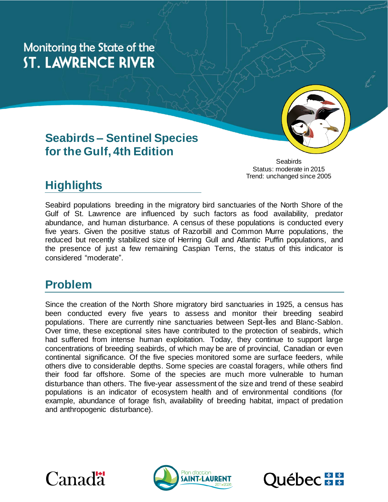Monitoring the State of the **ST. LAWRENCE RIVER** 

### **Seabirds – Sentinel Species for the Gulf, 4th Edition**

Seabirds Status: moderate in 2015 Trend: unchanged since 2005

# **Highlights**

Seabird populations breeding in the migratory bird sanctuaries of the North Shore of the Gulf of St. Lawrence are influenced by such factors as food availability, predator abundance, and human disturbance. A census of these populations is conducted every five years. Given the positive status of Razorbill and Common Murre populations, the reduced but recently stabilized size of Herring Gull and Atlantic Puffin populations, and the presence of just a few remaining Caspian Terns, the status of this indicator is considered "moderate".

### **Problem**

Since the creation of the North Shore migratory bird sanctuaries in 1925, a census has been conducted every five years to assess and monitor their breeding seabird populations. There are currently nine sanctuaries between Sept-Îles and Blanc-Sablon. Over time, these exceptional sites have contributed to the protection of seabirds, which had suffered from intense human exploitation. Today, they continue to support large concentrations of breeding seabirds, of which may be are of provincial, Canadian or even continental significance. Of the five species monitored some are surface feeders, while others dive to considerable depths. Some species are coastal foragers, while others find their food far offshore. Some of the species are much more vulnerable to human disturbance than others. The five-year assessment of the size and trend of these seabird populations is an indicator of ecosystem health and of environmental conditions (for example, abundance of forage fish, availability of breeding habitat, impact of predation and anthropogenic disturbance).





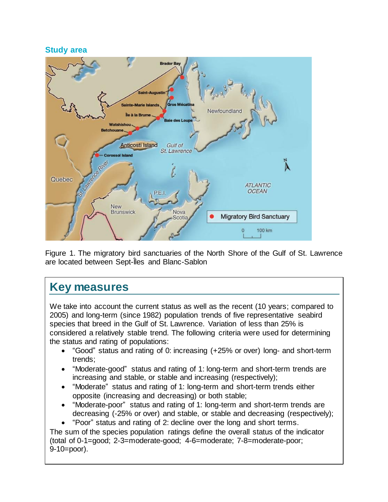#### **Study area**



Figure 1. The migratory bird sanctuaries of the North Shore of the Gulf of St. Lawrence are located between Sept-Îles and Blanc-Sablon

### **Key measures**

We take into account the current status as well as the recent (10 years; compared to 2005) and long-term (since 1982) population trends of five representative seabird species that breed in the Gulf of St. Lawrence. Variation of less than 25% is considered a relatively stable trend. The following criteria were used for determining the status and rating of populations:

- "Good" status and rating of 0: increasing (+25% or over) long- and short-term trends;
- "Moderate-good" status and rating of 1: long-term and short-term trends are increasing and stable, or stable and increasing (respectively);
- "Moderate" status and rating of 1: long-term and short-term trends either opposite (increasing and decreasing) or both stable;
- "Moderate-poor" status and rating of 1: long-term and short-term trends are decreasing (-25% or over) and stable, or stable and decreasing (respectively);
- "Poor" status and rating of 2: decline over the long and short terms.

The sum of the species population ratings define the overall status of the indicator (total of 0-1=good; 2-3=moderate-good; 4-6=moderate; 7-8=moderate-poor; 9-10=poor).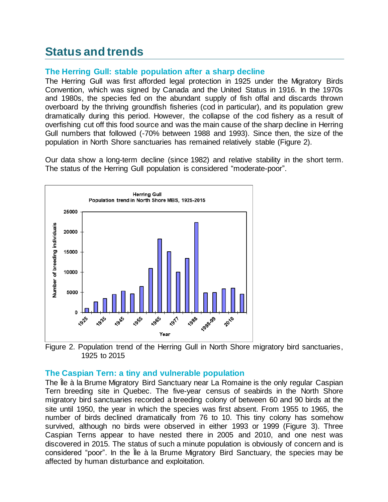# **Status and trends**

### **The Herring Gull: stable population after a sharp decline**

The Herring Gull was first afforded legal protection in 1925 under the Migratory Birds Convention, which was signed by Canada and the United Status in 1916. In the 1970s and 1980s, the species fed on the abundant supply of fish offal and discards thrown overboard by the thriving groundfish fisheries (cod in particular), and its population grew dramatically during this period. However, the collapse of the cod fishery as a result of overfishing cut off this food source and was the main cause of the sharp decline in Herring Gull numbers that followed (-70% between 1988 and 1993). Since then, the size of the population in North Shore sanctuaries has remained relatively stable (Figure 2).

Our data show a long-term decline (since 1982) and relative stability in the short term. The status of the Herring Gull population is considered "moderate-poor".



Figure 2. Population trend of the Herring Gull in North Shore migratory bird sanctuaries, 1925 to 2015

### **The Caspian Tern: a tiny and vulnerable population**

The Île à la Brume Migratory Bird Sanctuary near La Romaine is the only regular Caspian Tern breeding site in Quebec. The five-year census of seabirds in the North Shore migratory bird sanctuaries recorded a breeding colony of between 60 and 90 birds at the site until 1950, the year in which the species was first absent. From 1955 to 1965, the number of birds declined dramatically from 76 to 10. This tiny colony has somehow survived, although no birds were observed in either 1993 or 1999 (Figure 3). Three Caspian Terns appear to have nested there in 2005 and 2010, and one nest was discovered in 2015. The status of such a minute population is obviously of concern and is considered "poor". In the Île à la Brume Migratory Bird Sanctuary, the species may be affected by human disturbance and exploitation.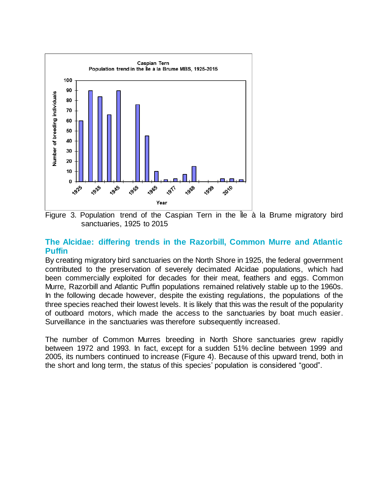

Figure 3. Population trend of the Caspian Tern in the Île à la Brume migratory bird sanctuaries, 1925 to 2015

#### **The Alcidae: differing trends in the Razorbill, Common Murre and Atlantic Puffin**

By creating migratory bird sanctuaries on the North Shore in 1925, the federal government contributed to the preservation of severely decimated Alcidae populations, which had been commercially exploited for decades for their meat, feathers and eggs. Common Murre, Razorbill and Atlantic Puffin populations remained relatively stable up to the 1960s. In the following decade however, despite the existing regulations, the populations of the three species reached their lowest levels. It is likely that this was the result of the popularity of outboard motors, which made the access to the sanctuaries by boat much easier. Surveillance in the sanctuaries was therefore subsequently increased.

The number of Common Murres breeding in North Shore sanctuaries grew rapidly between 1972 and 1993. In fact, except for a sudden 51% decline between 1999 and 2005, its numbers continued to increase (Figure 4). Because of this upward trend, both in the short and long term, the status of this species' population is considered "good".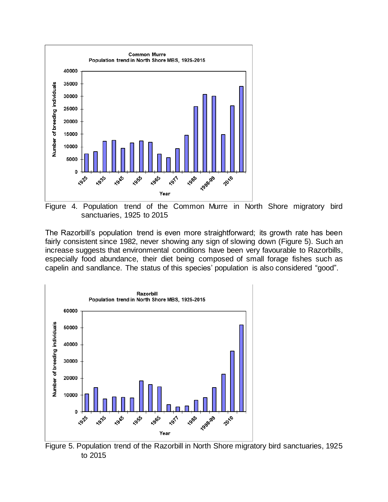

Figure 4. Population trend of the Common Murre in North Shore migratory bird sanctuaries, 1925 to 2015

The Razorbill's population trend is even more straightforward; its growth rate has been fairly consistent since 1982, never showing any sign of slowing down (Figure 5). Such an increase suggests that environmental conditions have been very favourable to Razorbills, especially food abundance, their diet being composed of small forage fishes such as capelin and sandlance. The status of this species' population is also considered "good".



Figure 5. Population trend of the Razorbill in North Shore migratory bird sanctuaries, 1925 to 2015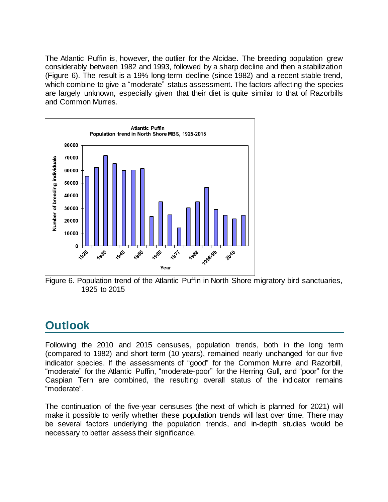The Atlantic Puffin is, however, the outlier for the Alcidae. The breeding population grew considerably between 1982 and 1993, followed by a sharp decline and then a stabilization (Figure 6). The result is a 19% long-term decline (since 1982) and a recent stable trend, which combine to give a "moderate" status assessment. The factors affecting the species are largely unknown, especially given that their diet is quite similar to that of Razorbills and Common Murres.



Figure 6. Population trend of the Atlantic Puffin in North Shore migratory bird sanctuaries, 1925 to 2015

# **Outlook**

Following the 2010 and 2015 censuses, population trends, both in the long term (compared to 1982) and short term (10 years), remained nearly unchanged for our five indicator species. If the assessments of "good" for the Common Murre and Razorbill, "moderate" for the Atlantic Puffin, "moderate-poor" for the Herring Gull, and "poor" for the Caspian Tern are combined, the resulting overall status of the indicator remains "moderate".

The continuation of the five-year censuses (the next of which is planned for 2021) will make it possible to verify whether these population trends will last over time. There may be several factors underlying the population trends, and in-depth studies would be necessary to better assess their significance.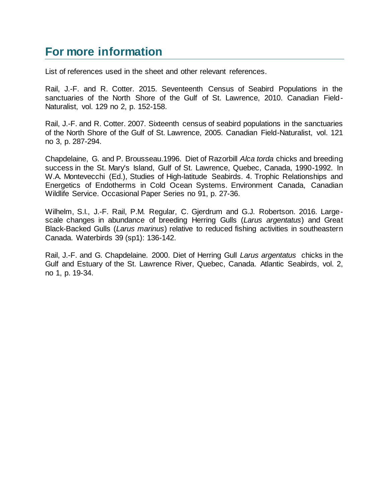### **For more information**

List of references used in the sheet and other relevant references.

Rail, J.-F. and R. Cotter. 2015. Seventeenth Census of Seabird Populations in the sanctuaries of the North Shore of the Gulf of St. Lawrence, 2010. Canadian Field-Naturalist, vol. 129 no 2, p. 152-158.

Rail, J.-F. and R. Cotter. 2007. Sixteenth census of seabird populations in the sanctuaries of the North Shore of the Gulf of St. Lawrence, 2005. Canadian Field-Naturalist, vol. 121 no 3, p. 287-294.

Chapdelaine, G. and P. Brousseau.1996. Diet of Razorbill *Alca torda* chicks and breeding success in the St. Mary's Island, Gulf of St. Lawrence, Quebec, Canada, 1990-1992. In W.A. Montevecchi (Ed.), Studies of High-latitude Seabirds. 4. Trophic Relationships and Energetics of Endotherms in Cold Ocean Systems. Environment Canada, Canadian Wildlife Service. Occasional Paper Series no 91, p. 27-36.

Wilhelm, S.I., J.-F. Rail, P.M. Regular, C. Gjerdrum and G.J. Robertson. 2016. Largescale changes in abundance of breeding Herring Gulls (*Larus argentatus*) and Great Black-Backed Gulls (*Larus marinus*) relative to reduced fishing activities in southeastern Canada. Waterbirds 39 (sp1): 136-142.

Rail, J.-F. and G. Chapdelaine. 2000. Diet of Herring Gull *Larus argentatus* chicks in the Gulf and Estuary of the St. Lawrence River, Quebec, Canada. Atlantic Seabirds, vol. 2, no 1, p. 19-34.